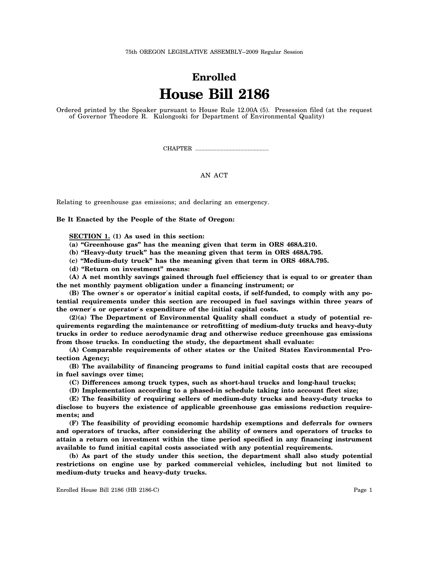75th OREGON LEGISLATIVE ASSEMBLY--2009 Regular Session

## **Enrolled House Bill 2186**

Ordered printed by the Speaker pursuant to House Rule 12.00A (5). Presession filed (at the request of Governor Theodore R. Kulongoski for Department of Environmental Quality)

CHAPTER .................................................

## AN ACT

Relating to greenhouse gas emissions; and declaring an emergency.

**Be It Enacted by the People of the State of Oregon:**

**SECTION 1. (1) As used in this section:**

**(a) "Greenhouse gas" has the meaning given that term in ORS 468A.210.**

**(b) "Heavy-duty truck" has the meaning given that term in ORS 468A.795.**

**(c) "Medium-duty truck" has the meaning given that term in ORS 468A.795.**

**(d) "Return on investment" means:**

**(A) A net monthly savings gained through fuel efficiency that is equal to or greater than the net monthly payment obligation under a financing instrument; or**

**(B) The owner**′**s or operator**′**s initial capital costs, if self-funded, to comply with any potential requirements under this section are recouped in fuel savings within three years of the owner**′**s or operator**′**s expenditure of the initial capital costs.**

**(2)(a) The Department of Environmental Quality shall conduct a study of potential requirements regarding the maintenance or retrofitting of medium-duty trucks and heavy-duty trucks in order to reduce aerodynamic drag and otherwise reduce greenhouse gas emissions from those trucks. In conducting the study, the department shall evaluate:**

**(A) Comparable requirements of other states or the United States Environmental Protection Agency;**

**(B) The availability of financing programs to fund initial capital costs that are recouped in fuel savings over time;**

**(C) Differences among truck types, such as short-haul trucks and long-haul trucks;**

**(D) Implementation according to a phased-in schedule taking into account fleet size;**

**(E) The feasibility of requiring sellers of medium-duty trucks and heavy-duty trucks to disclose to buyers the existence of applicable greenhouse gas emissions reduction requirements; and**

**(F) The feasibility of providing economic hardship exemptions and deferrals for owners and operators of trucks, after considering the ability of owners and operators of trucks to attain a return on investment within the time period specified in any financing instrument available to fund initial capital costs associated with any potential requirements.**

**(b) As part of the study under this section, the department shall also study potential restrictions on engine use by parked commercial vehicles, including but not limited to medium-duty trucks and heavy-duty trucks.**

Enrolled House Bill 2186 (HB 2186-C) Page 1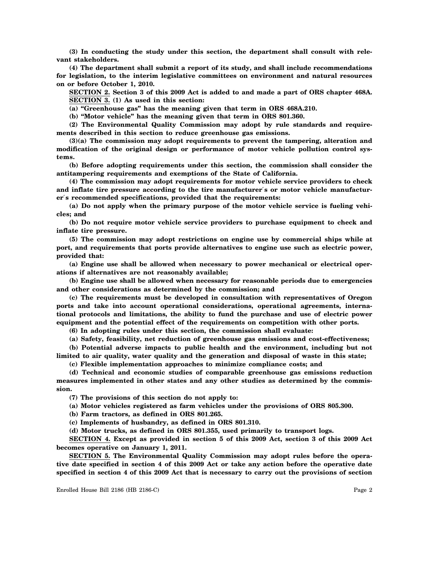**(3) In conducting the study under this section, the department shall consult with relevant stakeholders.**

**(4) The department shall submit a report of its study, and shall include recommendations for legislation, to the interim legislative committees on environment and natural resources on or before October 1, 2010.**

**SECTION 2. Section 3 of this 2009 Act is added to and made a part of ORS chapter 468A. SECTION 3. (1) As used in this section:**

**(a) "Greenhouse gas" has the meaning given that term in ORS 468A.210.**

**(b) "Motor vehicle" has the meaning given that term in ORS 801.360.**

**(2) The Environmental Quality Commission may adopt by rule standards and requirements described in this section to reduce greenhouse gas emissions.**

**(3)(a) The commission may adopt requirements to prevent the tampering, alteration and modification of the original design or performance of motor vehicle pollution control systems.**

**(b) Before adopting requirements under this section, the commission shall consider the antitampering requirements and exemptions of the State of California.**

**(4) The commission may adopt requirements for motor vehicle service providers to check and inflate tire pressure according to the tire manufacturer**′**s or motor vehicle manufacturer**′**s recommended specifications, provided that the requirements:**

**(a) Do not apply when the primary purpose of the motor vehicle service is fueling vehicles; and**

**(b) Do not require motor vehicle service providers to purchase equipment to check and inflate tire pressure.**

**(5) The commission may adopt restrictions on engine use by commercial ships while at port, and requirements that ports provide alternatives to engine use such as electric power, provided that:**

**(a) Engine use shall be allowed when necessary to power mechanical or electrical operations if alternatives are not reasonably available;**

**(b) Engine use shall be allowed when necessary for reasonable periods due to emergencies and other considerations as determined by the commission; and**

**(c) The requirements must be developed in consultation with representatives of Oregon ports and take into account operational considerations, operational agreements, international protocols and limitations, the ability to fund the purchase and use of electric power equipment and the potential effect of the requirements on competition with other ports.**

**(6) In adopting rules under this section, the commission shall evaluate:**

**(a) Safety, feasibility, net reduction of greenhouse gas emissions and cost-effectiveness;**

**(b) Potential adverse impacts to public health and the environment, including but not limited to air quality, water quality and the generation and disposal of waste in this state;**

**(c) Flexible implementation approaches to minimize compliance costs; and**

**(d) Technical and economic studies of comparable greenhouse gas emissions reduction measures implemented in other states and any other studies as determined by the commission.**

**(7) The provisions of this section do not apply to:**

**(a) Motor vehicles registered as farm vehicles under the provisions of ORS 805.300.**

**(b) Farm tractors, as defined in ORS 801.265.**

**(c) Implements of husbandry, as defined in ORS 801.310.**

**(d) Motor trucks, as defined in ORS 801.355, used primarily to transport logs.**

**SECTION 4. Except as provided in section 5 of this 2009 Act, section 3 of this 2009 Act becomes operative on January 1, 2011.**

**SECTION 5. The Environmental Quality Commission may adopt rules before the operative date specified in section 4 of this 2009 Act or take any action before the operative date specified in section 4 of this 2009 Act that is necessary to carry out the provisions of section**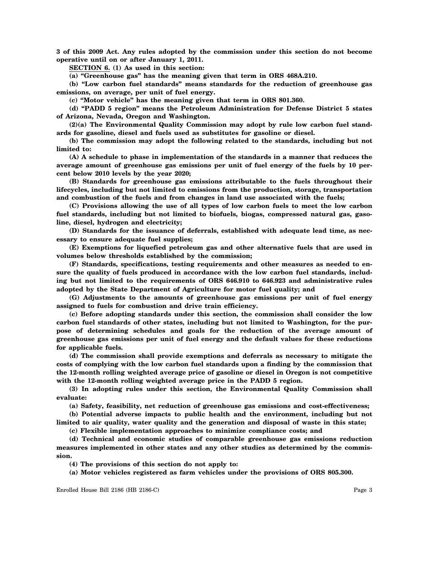**3 of this 2009 Act. Any rules adopted by the commission under this section do not become operative until on or after January 1, 2011.**

**SECTION 6. (1) As used in this section:**

**(a) "Greenhouse gas" has the meaning given that term in ORS 468A.210.**

**(b) "Low carbon fuel standards" means standards for the reduction of greenhouse gas emissions, on average, per unit of fuel energy.**

**(c) "Motor vehicle" has the meaning given that term in ORS 801.360.**

**(d) "PADD 5 region" means the Petroleum Administration for Defense District 5 states of Arizona, Nevada, Oregon and Washington.**

**(2)(a) The Environmental Quality Commission may adopt by rule low carbon fuel standards for gasoline, diesel and fuels used as substitutes for gasoline or diesel.**

**(b) The commission may adopt the following related to the standards, including but not limited to:**

**(A) A schedule to phase in implementation of the standards in a manner that reduces the average amount of greenhouse gas emissions per unit of fuel energy of the fuels by 10 percent below 2010 levels by the year 2020;**

**(B) Standards for greenhouse gas emissions attributable to the fuels throughout their lifecycles, including but not limited to emissions from the production, storage, transportation and combustion of the fuels and from changes in land use associated with the fuels;**

**(C) Provisions allowing the use of all types of low carbon fuels to meet the low carbon fuel standards, including but not limited to biofuels, biogas, compressed natural gas, gasoline, diesel, hydrogen and electricity;**

**(D) Standards for the issuance of deferrals, established with adequate lead time, as necessary to ensure adequate fuel supplies;**

**(E) Exemptions for liquefied petroleum gas and other alternative fuels that are used in volumes below thresholds established by the commission;**

**(F) Standards, specifications, testing requirements and other measures as needed to ensure the quality of fuels produced in accordance with the low carbon fuel standards, including but not limited to the requirements of ORS 646.910 to 646.923 and administrative rules adopted by the State Department of Agriculture for motor fuel quality; and**

**(G) Adjustments to the amounts of greenhouse gas emissions per unit of fuel energy assigned to fuels for combustion and drive train efficiency.**

**(c) Before adopting standards under this section, the commission shall consider the low carbon fuel standards of other states, including but not limited to Washington, for the purpose of determining schedules and goals for the reduction of the average amount of greenhouse gas emissions per unit of fuel energy and the default values for these reductions for applicable fuels.**

**(d) The commission shall provide exemptions and deferrals as necessary to mitigate the costs of complying with the low carbon fuel standards upon a finding by the commission that the 12-month rolling weighted average price of gasoline or diesel in Oregon is not competitive with the 12-month rolling weighted average price in the PADD 5 region.**

**(3) In adopting rules under this section, the Environmental Quality Commission shall evaluate:**

**(a) Safety, feasibility, net reduction of greenhouse gas emissions and cost-effectiveness;**

**(b) Potential adverse impacts to public health and the environment, including but not limited to air quality, water quality and the generation and disposal of waste in this state;**

**(c) Flexible implementation approaches to minimize compliance costs; and**

**(d) Technical and economic studies of comparable greenhouse gas emissions reduction measures implemented in other states and any other studies as determined by the commission.**

**(4) The provisions of this section do not apply to:**

**(a) Motor vehicles registered as farm vehicles under the provisions of ORS 805.300.**

Enrolled House Bill 2186 (HB 2186-C) Page 3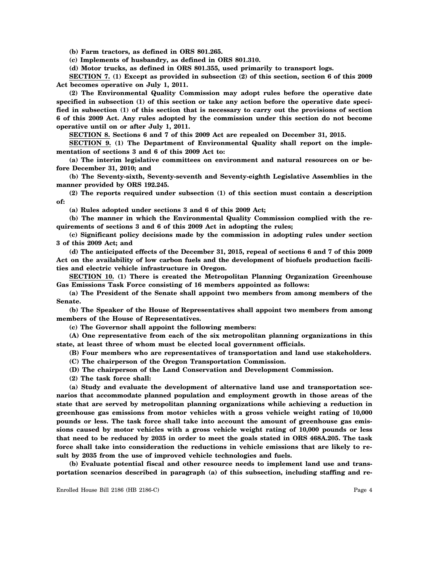**(b) Farm tractors, as defined in ORS 801.265.**

**(c) Implements of husbandry, as defined in ORS 801.310.**

**(d) Motor trucks, as defined in ORS 801.355, used primarily to transport logs.**

**SECTION 7. (1) Except as provided in subsection (2) of this section, section 6 of this 2009 Act becomes operative on July 1, 2011.**

**(2) The Environmental Quality Commission may adopt rules before the operative date specified in subsection (1) of this section or take any action before the operative date specified in subsection (1) of this section that is necessary to carry out the provisions of section 6 of this 2009 Act. Any rules adopted by the commission under this section do not become operative until on or after July 1, 2011.**

**SECTION 8. Sections 6 and 7 of this 2009 Act are repealed on December 31, 2015.**

**SECTION 9. (1) The Department of Environmental Quality shall report on the implementation of sections 3 and 6 of this 2009 Act to:**

**(a) The interim legislative committees on environment and natural resources on or before December 31, 2010; and**

**(b) The Seventy-sixth, Seventy-seventh and Seventy-eighth Legislative Assemblies in the manner provided by ORS 192.245.**

**(2) The reports required under subsection (1) of this section must contain a description of:**

**(a) Rules adopted under sections 3 and 6 of this 2009 Act;**

**(b) The manner in which the Environmental Quality Commission complied with the requirements of sections 3 and 6 of this 2009 Act in adopting the rules;**

**(c) Significant policy decisions made by the commission in adopting rules under section 3 of this 2009 Act; and**

**(d) The anticipated effects of the December 31, 2015, repeal of sections 6 and 7 of this 2009 Act on the availability of low carbon fuels and the development of biofuels production facilities and electric vehicle infrastructure in Oregon.**

**SECTION 10. (1) There is created the Metropolitan Planning Organization Greenhouse Gas Emissions Task Force consisting of 16 members appointed as follows:**

**(a) The President of the Senate shall appoint two members from among members of the Senate.**

**(b) The Speaker of the House of Representatives shall appoint two members from among members of the House of Representatives.**

**(c) The Governor shall appoint the following members:**

**(A) One representative from each of the six metropolitan planning organizations in this state, at least three of whom must be elected local government officials.**

**(B) Four members who are representatives of transportation and land use stakeholders.**

**(C) The chairperson of the Oregon Transportation Commission.**

**(D) The chairperson of the Land Conservation and Development Commission.**

**(2) The task force shall:**

**(a) Study and evaluate the development of alternative land use and transportation scenarios that accommodate planned population and employment growth in those areas of the state that are served by metropolitan planning organizations while achieving a reduction in greenhouse gas emissions from motor vehicles with a gross vehicle weight rating of 10,000 pounds or less. The task force shall take into account the amount of greenhouse gas emissions caused by motor vehicles with a gross vehicle weight rating of 10,000 pounds or less that need to be reduced by 2035 in order to meet the goals stated in ORS 468A.205. The task force shall take into consideration the reductions in vehicle emissions that are likely to result by 2035 from the use of improved vehicle technologies and fuels.**

**(b) Evaluate potential fiscal and other resource needs to implement land use and transportation scenarios described in paragraph (a) of this subsection, including staffing and re-**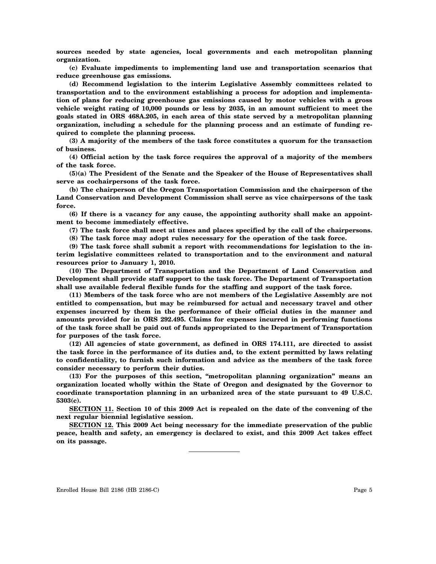**sources needed by state agencies, local governments and each metropolitan planning organization.**

**(c) Evaluate impediments to implementing land use and transportation scenarios that reduce greenhouse gas emissions.**

**(d) Recommend legislation to the interim Legislative Assembly committees related to transportation and to the environment establishing a process for adoption and implementation of plans for reducing greenhouse gas emissions caused by motor vehicles with a gross vehicle weight rating of 10,000 pounds or less by 2035, in an amount sufficient to meet the goals stated in ORS 468A.205, in each area of this state served by a metropolitan planning organization, including a schedule for the planning process and an estimate of funding required to complete the planning process.**

**(3) A majority of the members of the task force constitutes a quorum for the transaction of business.**

**(4) Official action by the task force requires the approval of a majority of the members of the task force.**

**(5)(a) The President of the Senate and the Speaker of the House of Representatives shall serve as cochairpersons of the task force.**

**(b) The chairperson of the Oregon Transportation Commission and the chairperson of the Land Conservation and Development Commission shall serve as vice chairpersons of the task force.**

**(6) If there is a vacancy for any cause, the appointing authority shall make an appointment to become immediately effective.**

**(7) The task force shall meet at times and places specified by the call of the chairpersons.**

**(8) The task force may adopt rules necessary for the operation of the task force.**

**(9) The task force shall submit a report with recommendations for legislation to the interim legislative committees related to transportation and to the environment and natural resources prior to January 1, 2010.**

**(10) The Department of Transportation and the Department of Land Conservation and Development shall provide staff support to the task force. The Department of Transportation shall use available federal flexible funds for the staffing and support of the task force.**

**(11) Members of the task force who are not members of the Legislative Assembly are not entitled to compensation, but may be reimbursed for actual and necessary travel and other expenses incurred by them in the performance of their official duties in the manner and amounts provided for in ORS 292.495. Claims for expenses incurred in performing functions of the task force shall be paid out of funds appropriated to the Department of Transportation for purposes of the task force.**

**(12) All agencies of state government, as defined in ORS 174.111, are directed to assist the task force in the performance of its duties and, to the extent permitted by laws relating to confidentiality, to furnish such information and advice as the members of the task force consider necessary to perform their duties.**

**(13) For the purposes of this section, "metropolitan planning organization" means an organization located wholly within the State of Oregon and designated by the Governor to coordinate transportation planning in an urbanized area of the state pursuant to 49 U.S.C. 5303(c).**

**SECTION 11. Section 10 of this 2009 Act is repealed on the date of the convening of the next regular biennial legislative session.**

**SECTION 12. This 2009 Act being necessary for the immediate preservation of the public peace, health and safety, an emergency is declared to exist, and this 2009 Act takes effect on its passage.**